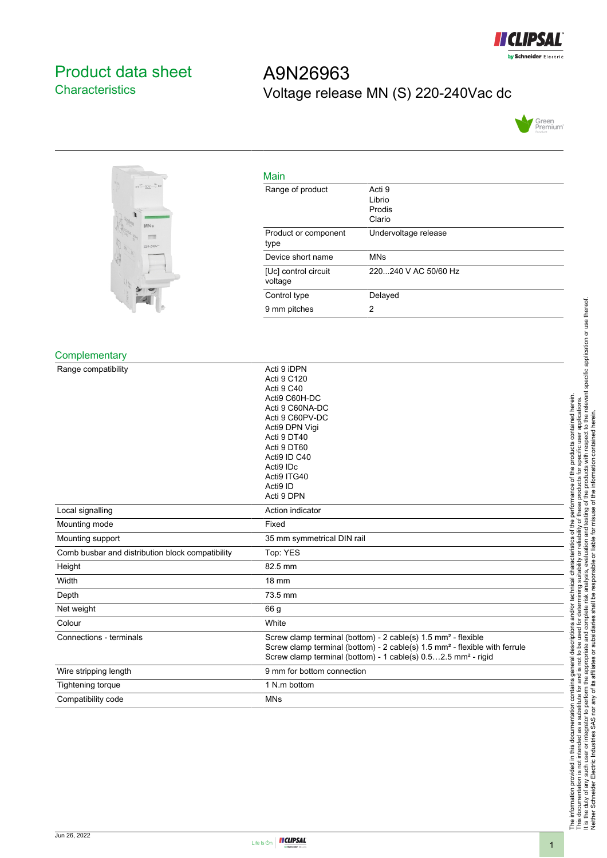

# <span id="page-0-0"></span>Product data sheet **Characteristics**

# A9N26963 Voltage release MN (S) 220-240Vac dc





| Main                            |                                      |
|---------------------------------|--------------------------------------|
| Range of product                | Acti 9<br>Librio<br>Prodis<br>Clario |
| Product or component<br>type    | Undervoltage release                 |
| Device short name               | <b>MNs</b>                           |
| [Uc] control circuit<br>voltage | 220240 V AC 50/60 Hz                 |
| Control type                    | Delayed                              |
| 9 mm pitches                    | 2                                    |

#### **Complementary**

| Range compatibility                              | Acti 9 iDPN<br>Acti 9 C120<br>Acti 9 C40<br>Acti9 C60H-DC<br>Acti 9 C60NA-DC<br>Acti 9 C60PV-DC<br>Acti9 DPN Vigi<br>Acti 9 DT40<br>Acti 9 DT60<br>Acti9 ID C40                                                                                  |
|--------------------------------------------------|--------------------------------------------------------------------------------------------------------------------------------------------------------------------------------------------------------------------------------------------------|
|                                                  | Acti9 IDc<br>Acti9 ITG40                                                                                                                                                                                                                         |
|                                                  | Acti9 ID                                                                                                                                                                                                                                         |
|                                                  | Acti 9 DPN                                                                                                                                                                                                                                       |
| Local signalling                                 | Action indicator                                                                                                                                                                                                                                 |
| Mounting mode                                    | Fixed                                                                                                                                                                                                                                            |
| Mounting support                                 | 35 mm symmetrical DIN rail                                                                                                                                                                                                                       |
| Comb busbar and distribution block compatibility | Top: YES                                                                                                                                                                                                                                         |
| Height                                           | 82.5 mm                                                                                                                                                                                                                                          |
| Width                                            | <b>18 mm</b>                                                                                                                                                                                                                                     |
| Depth                                            | 73.5 mm                                                                                                                                                                                                                                          |
| Net weight                                       | 66 g                                                                                                                                                                                                                                             |
| Colour                                           | White                                                                                                                                                                                                                                            |
| Connections - terminals                          | Screw clamp terminal (bottom) - 2 cable(s) 1.5 mm <sup>2</sup> - flexible<br>Screw clamp terminal (bottom) - 2 cable(s) 1.5 mm <sup>2</sup> - flexible with ferrule<br>Screw clamp terminal (bottom) - 1 cable(s) 0.52.5 mm <sup>2</sup> - rigid |
| Wire stripping length                            | 9 mm for bottom connection                                                                                                                                                                                                                       |
| Tightening torque                                | 1 N.m bottom                                                                                                                                                                                                                                     |
| Compatibility code                               | <b>MNs</b>                                                                                                                                                                                                                                       |